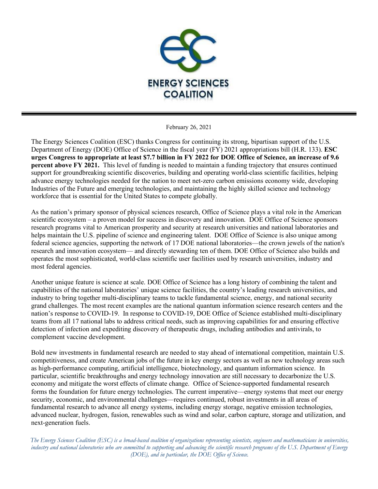

February 26, 2021

The Energy Sciences Coalition (ESC) thanks Congress for continuing its strong, bipartisan support of the U.S. Department of Energy (DOE) Office of Science in the fiscal year (FY) 2021 appropriations bill (H.R. 133). **ESC urges Congress to appropriate at least \$7.7 billion in FY 2022 for DOE Office of Science, an increase of 9.6 percent above FY 2021.** This level of funding is needed to maintain a funding trajectory that ensures continued support for groundbreaking scientific discoveries, building and operating world-class scientific facilities, helping advance energy technologies needed for the nation to meet net-zero carbon emissions economy wide, developing Industries of the Future and emerging technologies, and maintaining the highly skilled science and technology workforce that is essential for the United States to compete globally.

As the nation's primary sponsor of physical sciences research, Office of Science plays a vital role in the American scientific ecosystem – a proven model for success in discovery and innovation. DOE Office of Science sponsors research programs vital to American prosperity and security at research universities and national laboratories and helps maintain the U.S. pipeline of science and engineering talent. DOE Office of Science is also unique among federal science agencies, supporting the network of 17 DOE national laboratories—the crown jewels of the nation's research and innovation ecosystem— and directly stewarding ten of them. DOE Office of Science also builds and operates the most sophisticated, world-class scientific user facilities used by research universities, industry and most federal agencies.

Another unique feature is science at scale. DOE Office of Science has a long history of combining the talent and capabilities of the national laboratories' unique science facilities, the country's leading research universities, and industry to bring together multi-disciplinary teams to tackle fundamental science, energy, and national security grand challenges. The most recent examples are the national quantum information science research centers and the nation's response to COVID-19. In response to COVID-19, DOE Office of Science established multi-disciplinary teams from all 17 national labs to address critical needs, such as improving capabilities for and ensuring effective detection of infection and expediting discovery of therapeutic drugs, including antibodies and antivirals, to complement vaccine development.

Bold new investments in fundamental research are needed to stay ahead of international competition, maintain U.S. competitiveness, and create American jobs of the future in key energy sectors as well as new technology areas such as high-performance computing, artificial intelligence, biotechnology, and quantum information science. In particular, scientific breakthroughs and energy technology innovation are still necessary to decarbonize the U.S. economy and mitigate the worst effects of climate change. Office of Science-supported fundamental research forms the foundation for future energy technologies. The current imperative—energy systems that meet our energy security, economic, and environmental challenges—requires continued, robust investments in all areas of fundamental research to advance all energy systems, including energy storage, negative emission technologies, advanced nuclear, hydrogen, fusion, renewables such as wind and solar, carbon capture, storage and utilization, and next-generation fuels.

*The Energy Sciences Coalition (ESC) is a broad-based coalition of organizations representing scientists, engineers and mathematicians in universities, industry and national laboratories who are committed to supporting and advancing the scientific research programs of the U.S. Department of Energy (DOE), and in particular, the DOE Office of Science.*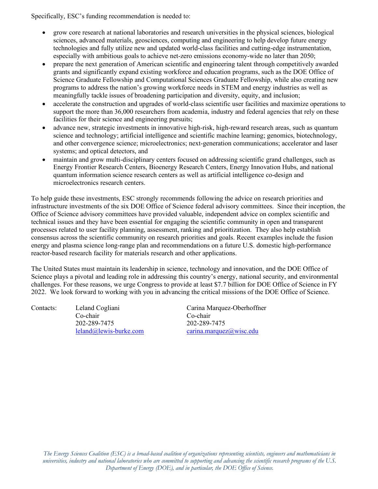Specifically, ESC's funding recommendation is needed to:

- grow core research at national laboratories and research universities in the physical sciences, biological sciences, advanced materials, geosciences, computing and engineering to help develop future energy technologies and fully utilize new and updated world-class facilities and cutting-edge instrumentation, especially with ambitious goals to achieve net-zero emissions economy-wide no later than 2050;
- prepare the next generation of American scientific and engineering talent through competitively awarded grants and significantly expand existing workforce and education programs, such as the DOE Office of Science Graduate Fellowship and Computational Sciences Graduate Fellowship, while also creating new programs to address the nation's growing workforce needs in STEM and energy industries as well as meaningfully tackle issues of broadening participation and diversity, equity, and inclusion;
- accelerate the construction and upgrades of world-class scientific user facilities and maximize operations to support the more than 36,000 researchers from academia, industry and federal agencies that rely on these facilities for their science and engineering pursuits;
- advance new, strategic investments in innovative high-risk, high-reward research areas, such as quantum science and technology; artificial intelligence and scientific machine learning; genomics, biotechnology, and other convergence science; microelectronics; next-generation communications; accelerator and laser systems; and optical detectors, and
- maintain and grow multi-disciplinary centers focused on addressing scientific grand challenges, such as Energy Frontier Research Centers, Bioenergy Research Centers, Energy Innovation Hubs, and national quantum information science research centers as well as artificial intelligence co-design and microelectronics research centers.

To help guide these investments, ESC strongly recommends following the advice on research priorities and infrastructure investments of the six DOE Office of Science federal advisory committees. Since their inception, the Office of Science advisory committees have provided valuable, independent advice on complex scientific and technical issues and they have been essential for engaging the scientific community in open and transparent processes related to user facility planning, assessment, ranking and prioritization. They also help establish consensus across the scientific community on research priorities and goals. Recent examples include the fusion energy and plasma science long-range plan and recommendations on a future U.S. domestic high-performance reactor-based research facility for materials research and other applications.

The United States must maintain its leadership in science, technology and innovation, and the DOE Office of Science plays a pivotal and leading role in addressing this country's energy, national security, and environmental challenges. For these reasons, we urge Congress to provide at least \$7.7 billion for DOE Office of Science in FY 2022. We look forward to working with you in advancing the critical missions of the DOE Office of Science.

Co-chair Co-chair 202-289-7475 202-289-7475

Contacts: Leland Cogliani Carina Marquez-Oberhoffner [leland@lewis-burke.com](mailto:leland@lewis-burke.com) [carina.marquez@wisc.edu](mailto:carina.marquez@wisc.edu)